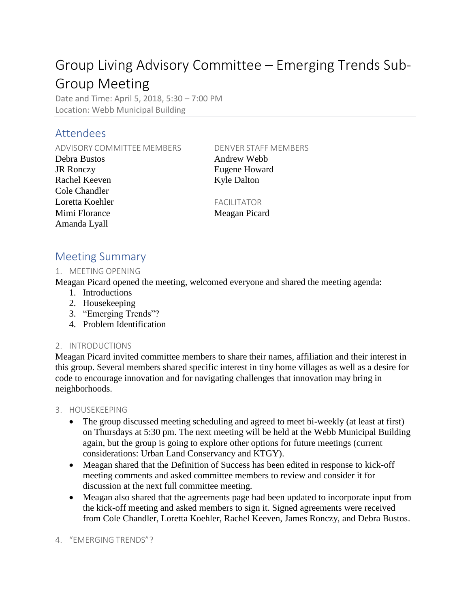# Group Living Advisory Committee – Emerging Trends Sub-Group Meeting

Date and Time: April 5, 2018, 5:30 – 7:00 PM Location: Webb Municipal Building

## Attendees

ADVISORY COMMITTEE MEMBERS DENVER STAFF MEMBERS

Debra Bustos Andrew Webb JR Ronczy Eugene Howard Rachel Keeven Kyle Dalton Cole Chandler Loretta Koehler FACILITATOR Mimi Florance Meagan Picard Amanda Lyall

## Meeting Summary

### 1. MEETING OPENING

Meagan Picard opened the meeting, welcomed everyone and shared the meeting agenda:

- 1. Introductions
- 2. Housekeeping
- 3. "Emerging Trends"?
- 4. Problem Identification

### 2. INTRODUCTIONS

Meagan Picard invited committee members to share their names, affiliation and their interest in this group. Several members shared specific interest in tiny home villages as well as a desire for code to encourage innovation and for navigating challenges that innovation may bring in neighborhoods.

- 3. HOUSEKEEPING
	- The group discussed meeting scheduling and agreed to meet bi-weekly (at least at first) on Thursdays at 5:30 pm. The next meeting will be held at the Webb Municipal Building again, but the group is going to explore other options for future meetings (current considerations: Urban Land Conservancy and KTGY).
	- Meagan shared that the Definition of Success has been edited in response to kick-off meeting comments and asked committee members to review and consider it for discussion at the next full committee meeting.
	- Meagan also shared that the agreements page had been updated to incorporate input from the kick-off meeting and asked members to sign it. Signed agreements were received from Cole Chandler, Loretta Koehler, Rachel Keeven, James Ronczy, and Debra Bustos.

4. "EMERGING TRENDS"?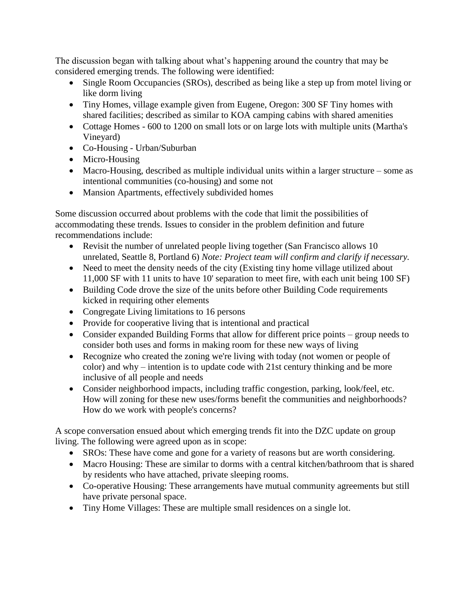The discussion began with talking about what's happening around the country that may be considered emerging trends. The following were identified:

- Single Room Occupancies (SROs), described as being like a step up from motel living or like dorm living
- Tiny Homes, village example given from Eugene, Oregon: 300 SF Tiny homes with shared facilities; described as similar to KOA camping cabins with shared amenities
- Cottage Homes 600 to 1200 on small lots or on large lots with multiple units (Martha's Vineyard)
- Co-Housing Urban/Suburban
- Micro-Housing
- Macro-Housing, described as multiple individual units within a larger structure some as intentional communities (co-housing) and some not
- Mansion Apartments, effectively subdivided homes

Some discussion occurred about problems with the code that limit the possibilities of accommodating these trends. Issues to consider in the problem definition and future recommendations include:

- Revisit the number of unrelated people living together (San Francisco allows 10) unrelated, Seattle 8, Portland 6) *Note: Project team will confirm and clarify if necessary.*
- Need to meet the density needs of the city (Existing tiny home village utilized about 11,000 SF with 11 units to have 10' separation to meet fire, with each unit being 100 SF)
- Building Code drove the size of the units before other Building Code requirements kicked in requiring other elements
- Congregate Living limitations to 16 persons
- Provide for cooperative living that is intentional and practical
- Consider expanded Building Forms that allow for different price points group needs to consider both uses and forms in making room for these new ways of living
- Recognize who created the zoning we're living with today (not women or people of color) and why – intention is to update code with 21st century thinking and be more inclusive of all people and needs
- Consider neighborhood impacts, including traffic congestion, parking, look/feel, etc. How will zoning for these new uses/forms benefit the communities and neighborhoods? How do we work with people's concerns?

A scope conversation ensued about which emerging trends fit into the DZC update on group living. The following were agreed upon as in scope:

- SROs: These have come and gone for a variety of reasons but are worth considering.
- Macro Housing: These are similar to dorms with a central kitchen/bathroom that is shared by residents who have attached, private sleeping rooms.
- Co-operative Housing: These arrangements have mutual community agreements but still have private personal space.
- Tiny Home Villages: These are multiple small residences on a single lot.